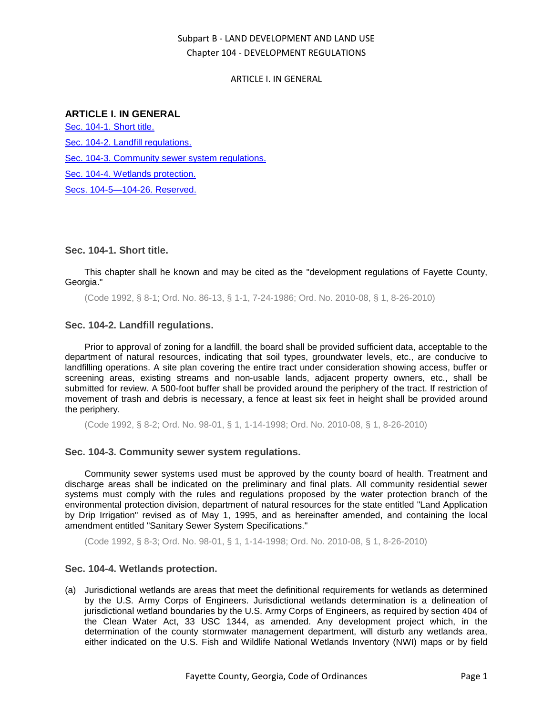# Subpart B - LAND DEVELOPMENT AND LAND USE Chapter 104 - DEVELOPMENT REGULATIONS

### ARTICLE I. IN GENERAL

# **ARTICLE I. IN GENERAL**

[Sec. 104-1. Short title.](#page-0-0) [Sec. 104-2. Landfill regulations.](#page-0-1) [Sec. 104-3. Community sewer system regulations.](#page-0-2) [Sec. 104-4. Wetlands protection.](#page-0-3) [Secs. 104-5—104-26. Reserved.](#page-1-0)

### <span id="page-0-0"></span>**Sec. 104-1. Short title.**

This chapter shall he known and may be cited as the "development regulations of Fayette County, Georgia."

(Code 1992, § 8-1; Ord. No. 86-13, § 1-1, 7-24-1986; Ord. No. 2010-08, § 1, 8-26-2010)

### <span id="page-0-1"></span>**Sec. 104-2. Landfill regulations.**

Prior to approval of zoning for a landfill, the board shall be provided sufficient data, acceptable to the department of natural resources, indicating that soil types, groundwater levels, etc., are conducive to landfilling operations. A site plan covering the entire tract under consideration showing access, buffer or screening areas, existing streams and non-usable lands, adjacent property owners, etc., shall be submitted for review. A 500-foot buffer shall be provided around the periphery of the tract. If restriction of movement of trash and debris is necessary, a fence at least six feet in height shall be provided around the periphery.

(Code 1992, § 8-2; Ord. No. 98-01, § 1, 1-14-1998; Ord. No. 2010-08, § 1, 8-26-2010)

## <span id="page-0-2"></span>**Sec. 104-3. Community sewer system regulations.**

Community sewer systems used must be approved by the county board of health. Treatment and discharge areas shall be indicated on the preliminary and final plats. All community residential sewer systems must comply with the rules and regulations proposed by the water protection branch of the environmental protection division, department of natural resources for the state entitled "Land Application by Drip Irrigation" revised as of May 1, 1995, and as hereinafter amended, and containing the local amendment entitled "Sanitary Sewer System Specifications."

(Code 1992, § 8-3; Ord. No. 98-01, § 1, 1-14-1998; Ord. No. 2010-08, § 1, 8-26-2010)

#### <span id="page-0-3"></span>**Sec. 104-4. Wetlands protection.**

(a) Jurisdictional wetlands are areas that meet the definitional requirements for wetlands as determined by the U.S. Army Corps of Engineers. Jurisdictional wetlands determination is a delineation of jurisdictional wetland boundaries by the U.S. Army Corps of Engineers, as required by section 404 of the Clean Water Act, 33 USC 1344, as amended. Any development project which, in the determination of the county stormwater management department, will disturb any wetlands area, either indicated on the U.S. Fish and Wildlife National Wetlands Inventory (NWI) maps or by field